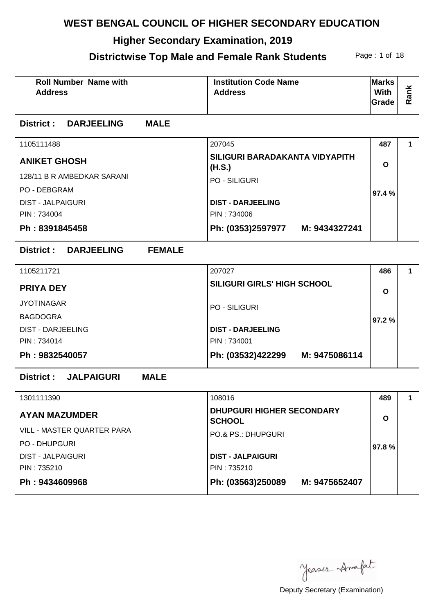# **Higher Secondary Examination, 2019**

#### **Districtwise Top Male and Female Rank Students** Page: 1 of 18

| <b>Roll Number Name with</b><br><b>Address</b> | <b>Institution Code Name</b><br><b>Address</b>    | <b>Marks</b><br><b>With</b><br>Grade | Rank        |
|------------------------------------------------|---------------------------------------------------|--------------------------------------|-------------|
| <b>MALE</b><br><b>District : DARJEELING</b>    |                                                   |                                      |             |
| 1105111488                                     | 207045                                            | 487                                  | 1           |
| <b>ANIKET GHOSH</b>                            | SILIGURI BARADAKANTA VIDYAPITH<br>(H.S.)          | O                                    |             |
| 128/11 B R AMBEDKAR SARANI                     | <b>PO - SILIGURI</b>                              |                                      |             |
| <b>PO - DEBGRAM</b>                            |                                                   | 97.4%                                |             |
| <b>DIST - JALPAIGURI</b>                       | <b>DIST - DARJEELING</b>                          |                                      |             |
| PIN: 734004                                    | PIN: 734006                                       |                                      |             |
| Ph: 8391845458                                 | Ph: (0353)2597977 M: 9434327241                   |                                      |             |
| <b>District : DARJEELING</b><br><b>FEMALE</b>  |                                                   |                                      |             |
| 1105211721                                     | 207027                                            | 486                                  | 1.          |
| <b>PRIYA DEY</b>                               | SILIGURI GIRLS' HIGH SCHOOL                       | $\mathbf{o}$                         |             |
| <b>JYOTINAGAR</b>                              | <b>PO - SILIGURI</b>                              |                                      |             |
| <b>BAGDOGRA</b>                                |                                                   | 97.2%                                |             |
| <b>DIST - DARJEELING</b>                       | <b>DIST - DARJEELING</b>                          |                                      |             |
| PIN: 734014                                    | PIN: 734001                                       |                                      |             |
| Ph: 9832540057                                 | Ph: (03532)422299 M: 9475086114                   |                                      |             |
| <b>MALE</b><br>District: JALPAIGURI            |                                                   |                                      |             |
| 1301111390                                     | 108016                                            | 489                                  | $\mathbf 1$ |
| <b>AYAN MAZUMDER</b>                           | <b>DHUPGURI HIGHER SECONDARY</b><br><b>SCHOOL</b> | O                                    |             |
| <b>VILL - MASTER QUARTER PARA</b>              | PO.& PS.: DHUPGURI                                |                                      |             |
| <b>PO - DHUPGURI</b>                           |                                                   | 97.8%                                |             |
| <b>DIST - JALPAIGURI</b>                       | <b>DIST - JALPAIGURI</b>                          |                                      |             |
| PIN: 735210                                    | PIN: 735210                                       |                                      |             |
| Ph: 9434609968                                 | Ph: (03563)250089<br>M: 9475652407                |                                      |             |

Jeases Anafat

Deputy Secretary (Examination)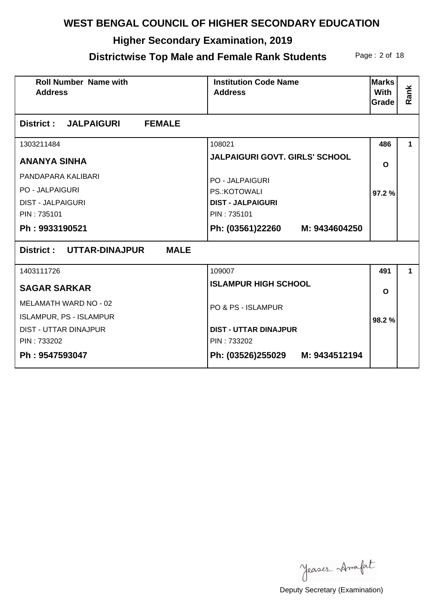# **Higher Secondary Examination, 2019**

#### **Districtwise Top Male and Female Rank Students** Page: 2 of 18

| <b>Roll Number Name with</b><br><b>Address</b> | <b>Institution Code Name</b><br><b>Address</b> | <b>Marks</b><br><b>With</b><br>Grade | Rank |
|------------------------------------------------|------------------------------------------------|--------------------------------------|------|
| <b>FEMALE</b><br><b>District : JALPAIGURI</b>  |                                                |                                      |      |
| 1303211484                                     | 108021                                         | 486                                  | 1.   |
| <b>ANANYA SINHA</b>                            | JALPAIGURI GOVT. GIRLS' SCHOOL                 | $\mathbf{o}$                         |      |
| PANDAPARA KALIBARI                             | <b>PO - JALPAIGURI</b>                         |                                      |      |
| <b>PO - JALPAIGURI</b>                         | PS.: KOTOWALI                                  | 97.2 %                               |      |
| <b>DIST - JALPAIGURI</b>                       | <b>DIST - JALPAIGURI</b>                       |                                      |      |
| PIN: 735101                                    | PIN: 735101                                    |                                      |      |
| Ph: 9933190521                                 | Ph: (03561)22260 M: 9434604250                 |                                      |      |
| District : UTTAR-DINAJPUR<br><b>MALE</b>       |                                                |                                      |      |
| 1403111726                                     | 109007                                         | 491                                  | 1.   |
| <b>SAGAR SARKAR</b>                            | <b>ISLAMPUR HIGH SCHOOL</b>                    | $\Omega$                             |      |
| <b>MELAMATH WARD NO - 02</b>                   | PO & PS - ISLAMPUR                             |                                      |      |
| <b>ISLAMPUR, PS - ISLAMPUR</b>                 |                                                | 98.2%                                |      |
| <b>DIST - UTTAR DINAJPUR</b>                   | <b>DIST - UTTAR DINAJPUR</b>                   |                                      |      |
| PIN: 733202                                    | PIN: 733202                                    |                                      |      |
| Ph: 9547593047                                 | Ph: (03526)255029 M: 9434512194                |                                      |      |

Jeases Anafat

Deputy Secretary (Examination)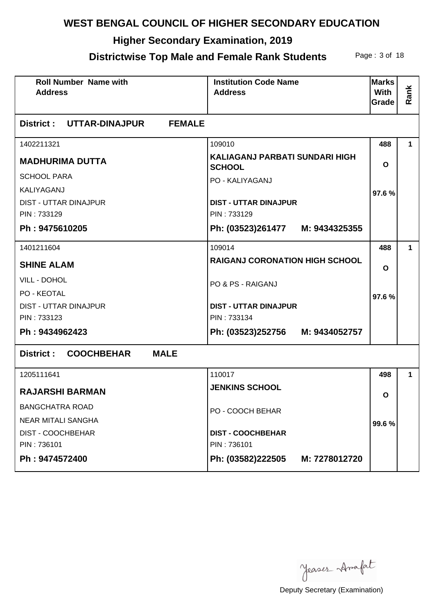## **Higher Secondary Examination, 2019**

## **Districtwise Top Male and Female Rank Students** Page: 3 of 18

| <b>Roll Number Name with</b><br><b>Address</b>        | <b>Institution Code Name</b><br><b>Address</b>  | <b>Marks</b><br><b>With</b><br>Grade | Rank         |
|-------------------------------------------------------|-------------------------------------------------|--------------------------------------|--------------|
| District: UTTAR-DINAJPUR<br><b>FEMALE</b>             |                                                 |                                      |              |
| 1402211321                                            | 109010                                          | 488                                  | 1.           |
| <b>MADHURIMA DUTTA</b>                                | KALIAGANJ PARBATI SUNDARI HIGH<br><b>SCHOOL</b> | $\mathbf{o}$                         |              |
| <b>SCHOOL PARA</b>                                    | PO - KALIYAGANJ                                 |                                      |              |
| KALIYAGANJ                                            |                                                 | 97.6%                                |              |
| <b>DIST - UTTAR DINAJPUR</b>                          | <b>DIST - UTTAR DINAJPUR</b>                    |                                      |              |
| PIN: 733129                                           | PIN: 733129                                     |                                      |              |
| Ph: 9475610205                                        | Ph: (03523)261477 M: 9434325355                 |                                      |              |
| 1401211604                                            | 109014                                          | 488                                  | $\mathbf{1}$ |
| <b>SHINE ALAM</b>                                     | <b>RAIGANJ CORONATION HIGH SCHOOL</b>           | $\mathbf{o}$                         |              |
| VILL - DOHOL                                          | PO & PS - RAIGANJ                               |                                      |              |
| <b>PO - KEOTAL</b>                                    |                                                 | 97.6%                                |              |
| <b>DIST - UTTAR DINAJPUR</b>                          | <b>DIST - UTTAR DINAJPUR</b>                    |                                      |              |
| PIN: 733123                                           | PIN: 733134                                     |                                      |              |
| Ph: 9434962423                                        | Ph: (03523)252756 M: 9434052757                 |                                      |              |
| <b>MALE</b><br><b>COOCHBEHAR</b><br><b>District :</b> |                                                 |                                      |              |
| 1205111641                                            | 110017                                          | 498                                  | 1.           |
| <b>RAJARSHI BARMAN</b>                                | <b>JENKINS SCHOOL</b>                           | O                                    |              |
| <b>BANGCHATRA ROAD</b>                                | PO - COOCH BEHAR                                |                                      |              |
| <b>NEAR MITALI SANGHA</b>                             |                                                 | 99.6%                                |              |
| DIST - COOCHBEHAR                                     | <b>DIST - COOCHBEHAR</b>                        |                                      |              |
| PIN: 736101                                           | PIN: 736101                                     |                                      |              |
| Ph: 9474572400                                        | Ph: (03582)222505<br>M: 7278012720              |                                      |              |

Jeases Anafat

Deputy Secretary (Examination)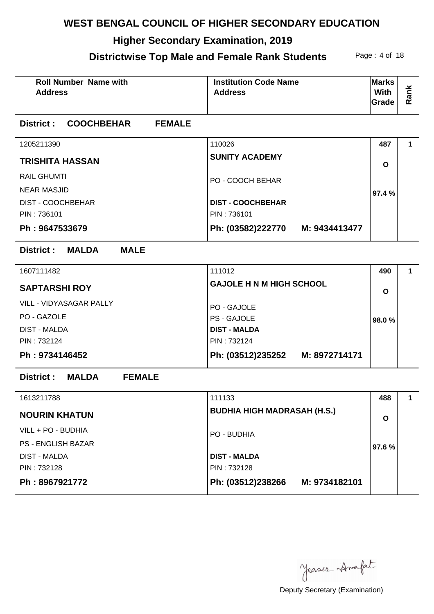## **Higher Secondary Examination, 2019**

#### **Districtwise Top Male and Female Rank Students** Page: 4 of 18

| <b>Roll Number Name with</b><br><b>Address</b> | <b>Institution Code Name</b><br><b>Address</b> | <b>Marks</b><br>With<br>Grade | Rank        |
|------------------------------------------------|------------------------------------------------|-------------------------------|-------------|
| <b>FEMALE</b><br>District : COOCHBEHAR         |                                                |                               |             |
| 1205211390                                     | 110026                                         | 487                           | 1           |
| <b>TRISHITA HASSAN</b>                         | <b>SUNITY ACADEMY</b>                          | $\mathbf{o}$                  |             |
| <b>RAIL GHUMTI</b>                             | PO - COOCH BEHAR                               |                               |             |
| <b>NEAR MASJID</b>                             |                                                | 97.4%                         |             |
| <b>DIST - COOCHBEHAR</b>                       | <b>DIST - COOCHBEHAR</b>                       |                               |             |
| PIN: 736101                                    | PIN: 736101                                    |                               |             |
| Ph: 9647533679                                 | Ph: (03582)222770 M: 9434413477                |                               |             |
| <b>MALDA</b><br><b>MALE</b><br>District :      |                                                |                               |             |
| 1607111482                                     | 111012                                         | 490                           | 1           |
| <b>SAPTARSHI ROY</b>                           | <b>GAJOLE H N M HIGH SCHOOL</b>                | $\mathbf{o}$                  |             |
| VILL - VIDYASAGAR PALLY                        | PO - GAJOLE                                    |                               |             |
| PO - GAZOLE                                    | PS - GAJOLE                                    | 98.0%                         |             |
| <b>DIST - MALDA</b>                            | <b>DIST - MALDA</b>                            |                               |             |
| PIN: 732124                                    | PIN: 732124                                    |                               |             |
| Ph: 9734146452                                 | Ph: (03512)235252 M: 8972714171                |                               |             |
| District :<br><b>MALDA</b><br><b>FEMALE</b>    |                                                |                               |             |
| 1613211788                                     | 111133                                         | 488                           | $\mathbf 1$ |
| <b>NOURIN KHATUN</b>                           | <b>BUDHIA HIGH MADRASAH (H.S.)</b>             | O                             |             |
| VILL + PO - BUDHIA                             | PO - BUDHIA                                    |                               |             |
| <b>PS - ENGLISH BAZAR</b>                      |                                                | 97.6%                         |             |
| <b>DIST - MALDA</b>                            | <b>DIST - MALDA</b>                            |                               |             |
| PIN: 732128                                    | PIN: 732128                                    |                               |             |
| Ph: 8967921772                                 | Ph: (03512)238266<br>M: 9734182101             |                               |             |

Jeases Anafat

Deputy Secretary (Examination)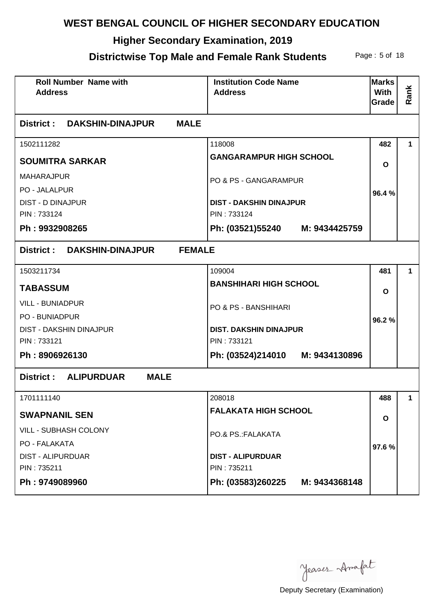## **Higher Secondary Examination, 2019**

## **Districtwise Top Male and Female Rank Students** Page: 5 of 18

| <b>Roll Number Name with</b><br><b>Address</b>      | <b>Institution Code Name</b><br><b>Address</b> | <b>Marks</b><br><b>With</b><br>Grade | Rank        |
|-----------------------------------------------------|------------------------------------------------|--------------------------------------|-------------|
| District:<br><b>MALE</b><br><b>DAKSHIN-DINAJPUR</b> |                                                |                                      |             |
| 1502111282                                          | 118008                                         | 482                                  | 1           |
| <b>SOUMITRA SARKAR</b>                              | <b>GANGARAMPUR HIGH SCHOOL</b>                 | O                                    |             |
| <b>MAHARAJPUR</b>                                   | PO & PS - GANGARAMPUR                          |                                      |             |
| PO - JALALPUR                                       |                                                | 96.4%                                |             |
| <b>DIST - D DINAJPUR</b>                            | <b>DIST - DAKSHIN DINAJPUR</b>                 |                                      |             |
| PIN: 733124                                         | PIN: 733124                                    |                                      |             |
| Ph: 9932908265                                      | Ph: (03521)55240 M: 9434425759                 |                                      |             |
| District: DAKSHIN-DINAJPUR<br><b>FEMALE</b>         |                                                |                                      |             |
| 1503211734                                          | 109004                                         | 481                                  | 1           |
| <b>TABASSUM</b>                                     | <b>BANSHIHARI HIGH SCHOOL</b>                  | $\mathbf{o}$                         |             |
| <b>VILL - BUNIADPUR</b>                             | PO & PS - BANSHIHARI                           |                                      |             |
| <b>PO - BUNIADPUR</b>                               |                                                | 96.2%                                |             |
| <b>DIST - DAKSHIN DINAJPUR</b>                      | <b>DIST. DAKSHIN DINAJPUR</b>                  |                                      |             |
| PIN: 733121                                         | PIN: 733121                                    |                                      |             |
| Ph: 8906926130                                      | Ph: (03524)214010 M: 9434130896                |                                      |             |
| <b>District: ALIPURDUAR</b><br><b>MALE</b>          |                                                |                                      |             |
| 1701111140                                          | 208018                                         | 488                                  | $\mathbf 1$ |
| <b>SWAPNANIL SEN</b>                                | <b>FALAKATA HIGH SCHOOL</b>                    | $\mathbf{o}$                         |             |
| <b>VILL - SUBHASH COLONY</b>                        | PO.& PS.: FALAKATA                             |                                      |             |
| PO - FALAKATA                                       |                                                | 97.6%                                |             |
| <b>DIST - ALIPURDUAR</b>                            | <b>DIST - ALIPURDUAR</b>                       |                                      |             |
| PIN: 735211                                         | PIN: 735211                                    |                                      |             |
| Ph: 9749089960                                      | Ph: (03583)260225<br>M: 9434368148             |                                      |             |

Jeases Anafat

Deputy Secretary (Examination)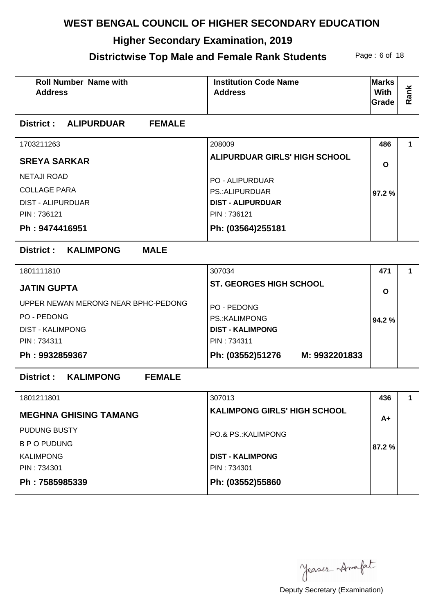## **Higher Secondary Examination, 2019**

## **Districtwise Top Male and Female Rank Students** Page: 6 of 18

| <b>Roll Number Name with</b><br><b>Address</b>         | <b>Institution Code Name</b><br><b>Address</b> | <b>Marks</b><br>With<br>Grade | Rank        |
|--------------------------------------------------------|------------------------------------------------|-------------------------------|-------------|
| District: ALIPURDUAR<br><b>FEMALE</b>                  |                                                |                               |             |
| 1703211263                                             | 208009                                         | 486                           | 1           |
| <b>SREYA SARKAR</b>                                    | <b>ALIPURDUAR GIRLS' HIGH SCHOOL</b>           | O                             |             |
| <b>NETAJI ROAD</b>                                     | <b>PO - ALIPURDUAR</b>                         |                               |             |
| <b>COLLAGE PARA</b>                                    | <b>PS.: ALIPURDUAR</b>                         | 97.2%                         |             |
| <b>DIST - ALIPURDUAR</b>                               | <b>DIST - ALIPURDUAR</b>                       |                               |             |
| PIN: 736121                                            | PIN: 736121                                    |                               |             |
| Ph: 9474416951                                         | Ph: (03564)255181                              |                               |             |
| KALIMPONG<br><b>MALE</b><br>District :                 |                                                |                               |             |
| 1801111810                                             | 307034                                         | 471                           | 1           |
| <b>JATIN GUPTA</b>                                     | <b>ST. GEORGES HIGH SCHOOL</b>                 | $\mathbf{o}$                  |             |
| UPPER NEWAN MERONG NEAR BPHC-PEDONG                    | PO - PEDONG                                    |                               |             |
| PO - PEDONG                                            | PS.: KALIMPONG                                 | 94.2%                         |             |
| <b>DIST - KALIMPONG</b>                                | <b>DIST - KALIMPONG</b>                        |                               |             |
| PIN: 734311                                            | PIN: 734311                                    |                               |             |
| Ph: 9932859367                                         | Ph: (03552)51276 M: 9932201833                 |                               |             |
| <b>KALIMPONG</b><br><b>FEMALE</b><br><b>District :</b> |                                                |                               |             |
| 1801211801                                             | 307013                                         | 436                           | $\mathbf 1$ |
| <b>MEGHNA GHISING TAMANG</b>                           | <b>KALIMPONG GIRLS' HIGH SCHOOL</b>            | A+                            |             |
| PUDUNG BUSTY                                           | PO.& PS.: KALIMPONG                            |                               |             |
| <b>B P O PUDUNG</b>                                    |                                                | 87.2%                         |             |
| <b>KALIMPONG</b>                                       | <b>DIST - KALIMPONG</b>                        |                               |             |
| PIN: 734301                                            | PIN: 734301                                    |                               |             |
| Ph: 7585985339                                         | Ph: (03552)55860                               |                               |             |

Jeases Anafat

Deputy Secretary (Examination)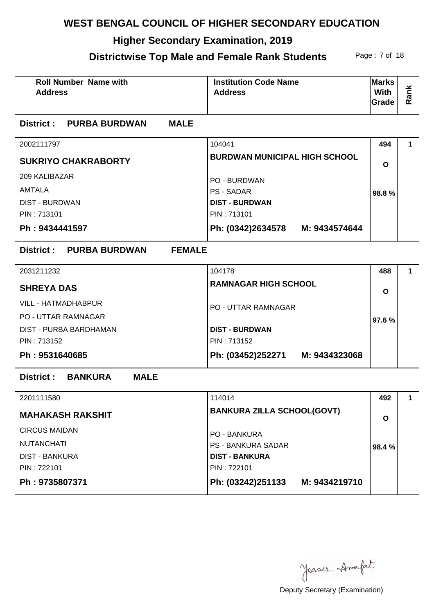## **Higher Secondary Examination, 2019**

#### **Districtwise Top Male and Female Rank Students** Page: 7 of 18

| <b>Roll Number Name with</b><br><b>Address</b> | <b>Institution Code Name</b><br><b>Address</b> | <b>Marks</b><br><b>With</b><br>Grade | Rank |
|------------------------------------------------|------------------------------------------------|--------------------------------------|------|
| <b>MALE</b><br><b>District : PURBA BURDWAN</b> |                                                |                                      |      |
| 2002111797                                     | 104041                                         | 494                                  | 1    |
| <b>SUKRIYO CHAKRABORTY</b>                     | <b>BURDWAN MUNICIPAL HIGH SCHOOL</b>           | O                                    |      |
| 209 KALIBAZAR                                  | PO - BURDWAN                                   |                                      |      |
| AMTALA                                         | <b>PS - SADAR</b>                              | 98.8%                                |      |
| <b>DIST - BURDWAN</b>                          | <b>DIST - BURDWAN</b>                          |                                      |      |
| PIN: 713101                                    | PIN: 713101                                    |                                      |      |
| Ph: 9434441597                                 | Ph: (0342)2634578 M: 9434574644                |                                      |      |
| <b>FEMALE</b><br>District: PURBA BURDWAN       |                                                |                                      |      |
| 2031211232                                     | 104178                                         | 488                                  | 1.   |
| <b>SHREYA DAS</b>                              | <b>RAMNAGAR HIGH SCHOOL</b>                    | O                                    |      |
| <b>VILL - HATMADHABPUR</b>                     | <b>PO - UTTAR RAMNAGAR</b>                     |                                      |      |
| <b>PO - UTTAR RAMNAGAR</b>                     |                                                | 97.6%                                |      |
| DIST - PURBA BARDHAMAN                         | <b>DIST - BURDWAN</b>                          |                                      |      |
| PIN: 713152                                    | PIN: 713152                                    |                                      |      |
| Ph: 9531640685                                 | Ph: (03452)252271 M: 9434323068                |                                      |      |
| <b>BANKURA</b><br><b>MALE</b><br>District :    |                                                |                                      |      |
| 2201111580                                     | 114014                                         | 492                                  | 1    |
| <b>MAHAKASH RAKSHIT</b>                        | <b>BANKURA ZILLA SCHOOL(GOVT)</b>              | O                                    |      |
| <b>CIRCUS MAIDAN</b>                           | PO - BANKURA                                   |                                      |      |
| <b>NUTANCHATI</b>                              | <b>PS - BANKURA SADAR</b>                      | 98.4%                                |      |
| <b>DIST - BANKURA</b>                          | <b>DIST - BANKURA</b>                          |                                      |      |
| PIN: 722101                                    | PIN: 722101                                    |                                      |      |
| Ph: 9735807371                                 | Ph: (03242)251133<br>M: 9434219710             |                                      |      |

Jeases Anafat

Deputy Secretary (Examination)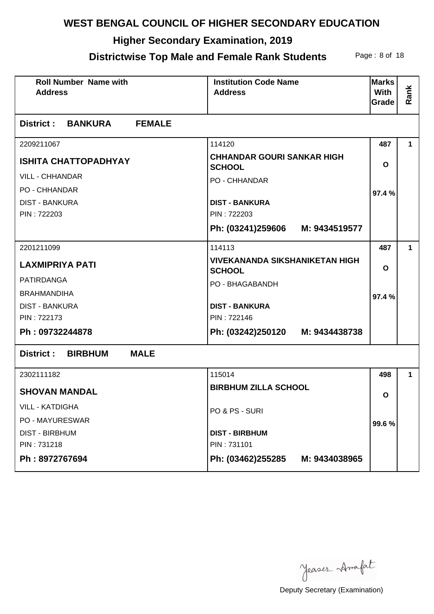## **Higher Secondary Examination, 2019**

#### **Districtwise Top Male and Female Rank Students** Page: 8 of 18

| <b>Roll Number Name with</b><br><b>Address</b> | <b>Institution Code Name</b><br><b>Address</b>         | <b>Marks</b><br><b>With</b><br>Grade | Rank         |
|------------------------------------------------|--------------------------------------------------------|--------------------------------------|--------------|
| <b>District : BANKURA</b><br><b>FEMALE</b>     |                                                        |                                      |              |
| 2209211067                                     | 114120                                                 | 487                                  | 1            |
| <b>ISHITA CHATTOPADHYAY</b>                    | <b>CHHANDAR GOURI SANKAR HIGH</b><br><b>SCHOOL</b>     | $\mathbf{o}$                         |              |
| <b>VILL - CHHANDAR</b>                         | PO - CHHANDAR                                          |                                      |              |
| <b>PO - CHHANDAR</b>                           |                                                        | 97.4%                                |              |
| <b>DIST - BANKURA</b>                          | <b>DIST - BANKURA</b>                                  |                                      |              |
| PIN: 722203                                    | PIN: 722203                                            |                                      |              |
|                                                | Ph: (03241)259606<br>M: 9434519577                     |                                      |              |
| 2201211099                                     | 114113                                                 | 487                                  | $\mathbf{1}$ |
| <b>LAXMIPRIYA PATI</b>                         | <b>VIVEKANANDA SIKSHANIKETAN HIGH</b><br><b>SCHOOL</b> | $\mathbf{o}$                         |              |
| <b>PATIRDANGA</b>                              | PO - BHAGABANDH                                        |                                      |              |
| <b>BRAHMANDIHA</b>                             |                                                        | 97.4%                                |              |
| <b>DIST - BANKURA</b>                          | <b>DIST - BANKURA</b>                                  |                                      |              |
| PIN: 722173                                    | PIN: 722146                                            |                                      |              |
| Ph: 09732244878                                | Ph: (03242)250120 M: 9434438738                        |                                      |              |
| District: BIRBHUM<br><b>MALE</b>               |                                                        |                                      |              |
| 2302111182                                     | 115014                                                 | 498                                  | 1.           |
| <b>SHOVAN MANDAL</b>                           | <b>BIRBHUM ZILLA SCHOOL</b>                            | O                                    |              |
| <b>VILL - KATDIGHA</b>                         | PO & PS - SURI                                         |                                      |              |
| <b>PO - MAYURESWAR</b>                         |                                                        | 99.6%                                |              |
| <b>DIST - BIRBHUM</b>                          | <b>DIST - BIRBHUM</b>                                  |                                      |              |
| PIN: 731218                                    | PIN: 731101                                            |                                      |              |
| Ph: 8972767694                                 | Ph: (03462)255285<br>M: 9434038965                     |                                      |              |

Jeases Anafat

Deputy Secretary (Examination)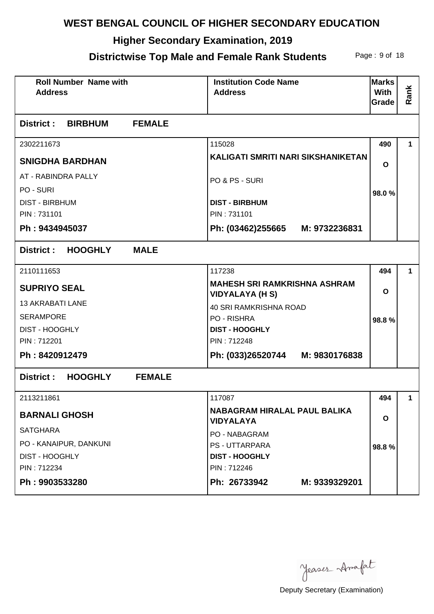# **Higher Secondary Examination, 2019**

#### **Districtwise Top Male and Female Rank Students** Page: 9 of 18

| <b>Roll Number Name with</b><br><b>Address</b> | <b>Institution Code Name</b><br><b>Address</b>                | <b>Marks</b><br><b>With</b><br>Grade | Rank        |
|------------------------------------------------|---------------------------------------------------------------|--------------------------------------|-------------|
| District :<br><b>BIRBHUM</b><br><b>FEMALE</b>  |                                                               |                                      |             |
| 2302211673                                     | 115028                                                        | 490                                  | 1           |
| <b>SNIGDHA BARDHAN</b>                         | KALIGATI SMRITI NARI SIKSHANIKETAN                            | O                                    |             |
| AT - RABINDRA PALLY                            | PO & PS - SURI                                                |                                      |             |
| PO - SURI                                      |                                                               | 98.0%                                |             |
| <b>DIST - BIRBHUM</b>                          | <b>DIST - BIRBHUM</b>                                         |                                      |             |
| PIN: 731101                                    | PIN: 731101                                                   |                                      |             |
| Ph: 9434945037                                 | Ph: (03462)255665 M: 9732236831                               |                                      |             |
| <b>HOOGHLY</b><br><b>MALE</b><br>District :    |                                                               |                                      |             |
| 2110111653                                     | 117238                                                        | 494                                  | 1.          |
| <b>SUPRIYO SEAL</b>                            | <b>MAHESH SRI RAMKRISHNA ASHRAM</b><br><b>VIDYALAYA (H S)</b> | O                                    |             |
| <b>13 AKRABATI LANE</b>                        | 40 SRI RAMKRISHNA ROAD                                        |                                      |             |
| <b>SERAMPORE</b>                               | PO - RISHRA                                                   | 98.8%                                |             |
| <b>DIST - HOOGHLY</b>                          | <b>DIST - HOOGHLY</b>                                         |                                      |             |
| PIN: 712201                                    | PIN: 712248                                                   |                                      |             |
| Ph: 8420912479                                 | Ph: (033)26520744 M: 9830176838                               |                                      |             |
| <b>HOOGHLY</b><br>District :<br><b>FEMALE</b>  |                                                               |                                      |             |
| 2113211861                                     | 117087                                                        | 494                                  | $\mathbf 1$ |
| <b>BARNALI GHOSH</b>                           | NABAGRAM HIRALAL PAUL BALIKA<br><b>VIDYALAYA</b>              | O                                    |             |
| <b>SATGHARA</b>                                | <b>PO - NABAGRAM</b>                                          |                                      |             |
| PO - KANAIPUR, DANKUNI                         | <b>PS - UTTARPARA</b>                                         | 98.8%                                |             |
| <b>DIST - HOOGHLY</b>                          | <b>DIST - HOOGHLY</b>                                         |                                      |             |
| PIN: 712234                                    | PIN: 712246                                                   |                                      |             |
| Ph: 9903533280                                 | Ph: 26733942<br>M: 9339329201                                 |                                      |             |

Jeases Anafat

Deputy Secretary (Examination)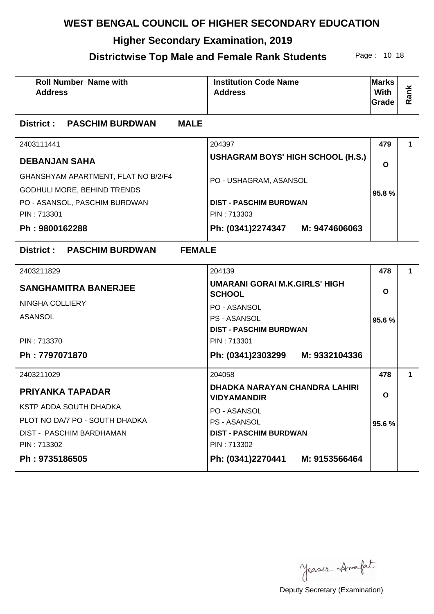## **Higher Secondary Examination, 2019**

## **Districtwise Top Male and Female Rank Students** Page: 10 18

| <b>Roll Number Name with</b><br><b>Address</b>                     | <b>Institution Code Name</b><br><b>Address</b>        | <b>Marks</b><br>With<br>Grade | Rank |
|--------------------------------------------------------------------|-------------------------------------------------------|-------------------------------|------|
| <b>MALE</b><br>District : PASCHIM BURDWAN                          |                                                       |                               |      |
| 2403111441                                                         | 204397                                                | 479                           | 1    |
| <b>DEBANJAN SAHA</b>                                               | <b>USHAGRAM BOYS' HIGH SCHOOL (H.S.)</b>              | $\mathbf{o}$                  |      |
| GHANSHYAM APARTMENT, FLAT NO B/2/F4<br>GODHULI MORE, BEHIND TRENDS | PO - USHAGRAM, ASANSOL                                | 95.8%                         |      |
| PO - ASANSOL, PASCHIM BURDWAN                                      | <b>DIST - PASCHIM BURDWAN</b>                         |                               |      |
| PIN: 713301                                                        | PIN: 713303                                           |                               |      |
| Ph: 9800162288                                                     | Ph: (0341)2274347 M: 9474606063                       |                               |      |
| District: PASCHIM BURDWAN                                          | <b>FEMALE</b>                                         |                               |      |
| 2403211829                                                         | 204139                                                | 478                           | 1    |
| <b>SANGHAMITRA BANERJEE</b>                                        | <b>UMARANI GORAI M.K.GIRLS' HIGH</b><br><b>SCHOOL</b> | $\mathbf{o}$                  |      |
| <b>NINGHA COLLIERY</b>                                             | PO - ASANSOL                                          |                               |      |
| <b>ASANSOL</b>                                                     | <b>PS - ASANSOL</b>                                   | 95.6%                         |      |
| PIN: 713370                                                        | <b>DIST - PASCHIM BURDWAN</b><br>PIN: 713301          |                               |      |
| Ph: 7797071870                                                     | Ph: (0341)2303299 M: 9332104336                       |                               |      |
| 2403211029                                                         | 204058                                                | 478                           | 1    |
| <b>PRIYANKA TAPADAR</b>                                            | DHADKA NARAYAN CHANDRA LAHIRI<br><b>VIDYAMANDIR</b>   | O                             |      |
| KSTP ADDA SOUTH DHADKA                                             | PO - ASANSOL                                          |                               |      |
| PLOT NO DA/7 PO - SOUTH DHADKA                                     | <b>PS - ASANSOL</b>                                   | 95.6%                         |      |
| DIST - PASCHIM BARDHAMAN                                           | <b>DIST - PASCHIM BURDWAN</b>                         |                               |      |
| PIN: 713302                                                        | PIN: 713302                                           |                               |      |
| Ph: 9735186505                                                     | Ph: (0341)2270441<br>M: 9153566464                    |                               |      |

Jeases Anafat

Deputy Secretary (Examination)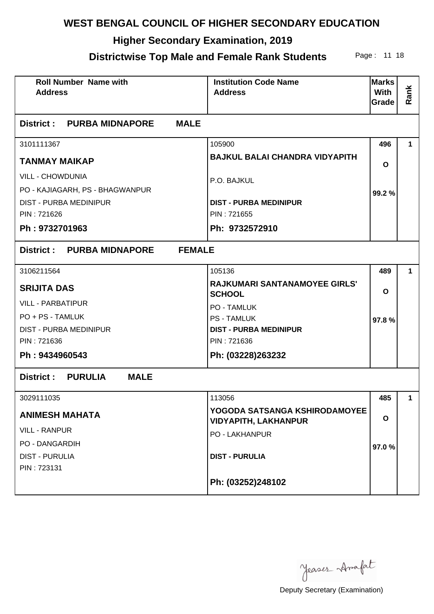## **Higher Secondary Examination, 2019**

#### **Districtwise Top Male and Female Rank Students** Page: 11 18

| <b>Roll Number Name with</b><br><b>Address</b>    | <b>Institution Code Name</b><br><b>Address</b>               | <b>Marks</b><br>With<br>Grade | Rank        |
|---------------------------------------------------|--------------------------------------------------------------|-------------------------------|-------------|
| District : PURBA MIDNAPORE<br><b>MALE</b>         |                                                              |                               |             |
| 3101111367                                        | 105900                                                       | 496                           | 1           |
| <b>TANMAY MAIKAP</b>                              | <b>BAJKUL BALAI CHANDRA VIDYAPITH</b>                        | O                             |             |
| <b>VILL - CHOWDUNIA</b>                           | P.O. BAJKUL                                                  |                               |             |
| PO - KAJIAGARH, PS - BHAGWANPUR                   |                                                              | 99.2%                         |             |
| <b>DIST - PURBA MEDINIPUR</b>                     | <b>DIST - PURBA MEDINIPUR</b>                                |                               |             |
| PIN: 721626                                       | PIN: 721655                                                  |                               |             |
| Ph: 9732701963                                    | Ph: 9732572910                                               |                               |             |
| District: PURBA MIDNAPORE<br><b>FEMALE</b>        |                                                              |                               |             |
| 3106211564                                        | 105136                                                       | 489                           | 1.          |
| <b>SRIJITA DAS</b>                                | <b>RAJKUMARI SANTANAMOYEE GIRLS'</b><br><b>SCHOOL</b>        | $\mathbf{o}$                  |             |
| <b>VILL - PARBATIPUR</b>                          | <b>PO - TAMLUK</b>                                           |                               |             |
| PO + PS - TAMLUK                                  | <b>PS - TAMLUK</b>                                           | 97.8%                         |             |
| <b>DIST - PURBA MEDINIPUR</b>                     | <b>DIST - PURBA MEDINIPUR</b>                                |                               |             |
| PIN: 721636                                       | PIN: 721636                                                  |                               |             |
| Ph: 9434960543                                    | Ph: (03228)263232                                            |                               |             |
| <b>PURULIA</b><br><b>MALE</b><br><b>District:</b> |                                                              |                               |             |
| 3029111035                                        | 113056                                                       | 485                           | $\mathbf 1$ |
| <b>ANIMESH MAHATA</b>                             | YOGODA SATSANGA KSHIRODAMOYEE<br><b>VIDYAPITH, LAKHANPUR</b> | O                             |             |
| <b>VILL - RANPUR</b>                              | <b>PO - LAKHANPUR</b>                                        |                               |             |
| PO - DANGARDIH                                    |                                                              | 97.0%                         |             |
| <b>DIST - PURULIA</b>                             | <b>DIST - PURULIA</b>                                        |                               |             |
| PIN: 723131                                       |                                                              |                               |             |
|                                                   | Ph: (03252)248102                                            |                               |             |

Jeases Anafat

Deputy Secretary (Examination)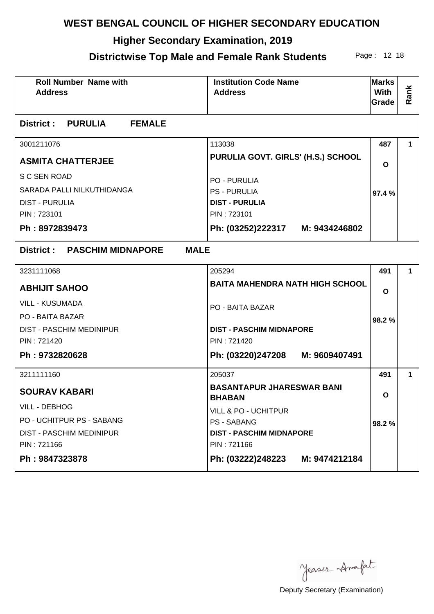## **Higher Secondary Examination, 2019**

#### **Districtwise Top Male and Female Rank Students** Page: 12 18

| <b>Roll Number Name with</b><br><b>Address</b>                                                       | <b>Institution Code Name</b><br><b>Address</b>                                                                        | <b>Marks</b><br><b>With</b><br>Grade | Rank |
|------------------------------------------------------------------------------------------------------|-----------------------------------------------------------------------------------------------------------------------|--------------------------------------|------|
| <b>District : PURULIA</b><br><b>FEMALE</b>                                                           |                                                                                                                       |                                      |      |
| 3001211076                                                                                           | 113038                                                                                                                | 487                                  | 1.   |
| <b>ASMITA CHATTERJEE</b>                                                                             | PURULIA GOVT. GIRLS' (H.S.) SCHOOL                                                                                    | O                                    |      |
| S C SEN ROAD<br>SARADA PALLI NILKUTHIDANGA<br><b>DIST - PURULIA</b><br>PIN: 723101<br>Ph: 8972839473 | <b>PO - PURULIA</b><br><b>PS - PURULIA</b><br><b>DIST - PURULIA</b><br>PIN: 723101<br>Ph: (03252)222317 M: 9434246802 | 97.4%                                |      |
|                                                                                                      |                                                                                                                       |                                      |      |
| District: PASCHIM MIDNAPORE<br><b>MALE</b>                                                           |                                                                                                                       |                                      |      |
| 3231111068                                                                                           | 205294                                                                                                                | 491                                  | 1    |
| <b>ABHIJIT SAHOO</b>                                                                                 | <b>BAITA MAHENDRA NATH HIGH SCHOOL</b>                                                                                | O                                    |      |
| <b>VILL - KUSUMADA</b><br>PO - BAITA BAZAR                                                           | PO - BAITA BAZAR                                                                                                      | 98.2%                                |      |
| <b>DIST - PASCHIM MEDINIPUR</b><br>PIN: 721420                                                       | <b>DIST - PASCHIM MIDNAPORE</b><br>PIN: 721420                                                                        |                                      |      |
| Ph: 9732820628                                                                                       | Ph: (03220)247208 M: 9609407491                                                                                       |                                      |      |
| 3211111160                                                                                           | 205037                                                                                                                | 491                                  | 1    |
| <b>SOURAV KABARI</b>                                                                                 | <b>BASANTAPUR JHARESWAR BANI</b><br><b>BHABAN</b>                                                                     | O                                    |      |
| <b>VILL - DEBHOG</b>                                                                                 | VILL & PO - UCHITPUR                                                                                                  |                                      |      |
| PO - UCHITPUR PS - SABANG                                                                            | <b>PS - SABANG</b>                                                                                                    | 98.2%                                |      |
| <b>DIST - PASCHIM MEDINIPUR</b>                                                                      | <b>DIST - PASCHIM MIDNAPORE</b><br>PIN: 721166                                                                        |                                      |      |
| PIN: 721166                                                                                          |                                                                                                                       |                                      |      |
| Ph: 9847323878                                                                                       | Ph: (03222)248223 M: 9474212184                                                                                       |                                      |      |

Jeases Anafat

Deputy Secretary (Examination)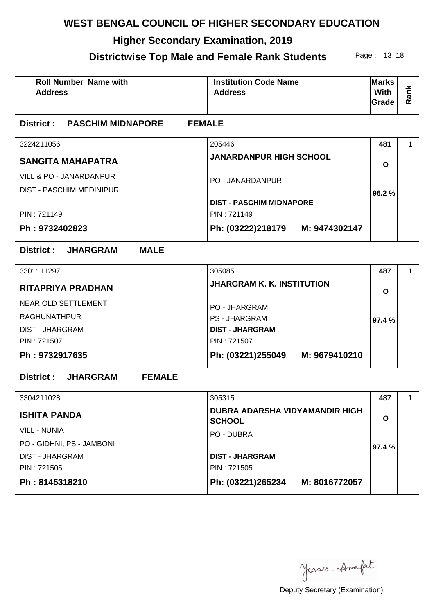## **Higher Secondary Examination, 2019**

#### **Districtwise Top Male and Female Rank Students** Page: 13 18

| <b>Roll Number Name with</b><br><b>Address</b>          | <b>Institution Code Name</b><br><b>Address</b>         | <b>Marks</b><br><b>With</b><br>Grade | Rank        |
|---------------------------------------------------------|--------------------------------------------------------|--------------------------------------|-------------|
| District :<br><b>PASCHIM MIDNAPORE</b><br><b>FEMALE</b> |                                                        |                                      |             |
| 3224211056                                              | 205446                                                 | 481                                  | 1           |
| <b>SANGITA MAHAPATRA</b>                                | <b>JANARDANPUR HIGH SCHOOL</b>                         | $\mathbf{o}$                         |             |
| <b>VILL &amp; PO - JANARDANPUR</b>                      | PO - JANARDANPUR                                       |                                      |             |
| <b>DIST - PASCHIM MEDINIPUR</b>                         |                                                        | 96.2%                                |             |
|                                                         | <b>DIST - PASCHIM MIDNAPORE</b>                        |                                      |             |
| PIN: 721149                                             | PIN: 721149                                            |                                      |             |
| Ph: 9732402823                                          | Ph: (03222)218179 M: 9474302147                        |                                      |             |
| District: JHARGRAM<br><b>MALE</b>                       |                                                        |                                      |             |
| 3301111297                                              | 305085                                                 | 487                                  | 1           |
| <b>RITAPRIYA PRADHAN</b>                                | <b>JHARGRAM K. K. INSTITUTION</b>                      | $\mathbf{o}$                         |             |
| <b>NEAR OLD SETTLEMENT</b>                              | <b>PO - JHARGRAM</b>                                   |                                      |             |
| <b>RAGHUNATHPUR</b>                                     | <b>PS - JHARGRAM</b>                                   | 97.4%                                |             |
| <b>DIST - JHARGRAM</b>                                  | <b>DIST - JHARGRAM</b>                                 |                                      |             |
| PIN: 721507                                             | PIN: 721507                                            |                                      |             |
| Ph: 9732917635                                          | Ph: (03221)255049 M: 9679410210                        |                                      |             |
| District: JHARGRAM<br><b>FEMALE</b>                     |                                                        |                                      |             |
| 3304211028                                              | 305315                                                 | 487                                  | $\mathbf 1$ |
| <b>ISHITA PANDA</b>                                     | <b>DUBRA ADARSHA VIDYAMANDIR HIGH</b><br><b>SCHOOL</b> | O                                    |             |
| <b>VILL - NUNIA</b>                                     | PO - DUBRA                                             |                                      |             |
| PO - GIDHNI, PS - JAMBONI                               |                                                        | 97.4%                                |             |
| <b>DIST - JHARGRAM</b>                                  | <b>DIST - JHARGRAM</b>                                 |                                      |             |
| PIN: 721505                                             | PIN: 721505                                            |                                      |             |
| Ph: 8145318210                                          | Ph: (03221)265234<br>M: 8016772057                     |                                      |             |

Jeases Anafat

Deputy Secretary (Examination)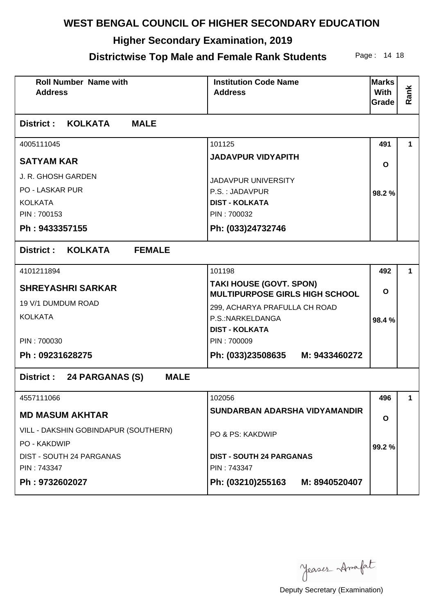## **Higher Secondary Examination, 2019**

#### **Districtwise Top Male and Female Rank Students** Page: 14 18

| <b>Roll Number Name with</b><br><b>Address</b>      | <b>Institution Code Name</b><br><b>Address</b>                          | <b>Marks</b><br><b>With</b><br>Grade | Rank        |  |
|-----------------------------------------------------|-------------------------------------------------------------------------|--------------------------------------|-------------|--|
| District: KOLKATA<br><b>MALE</b>                    |                                                                         |                                      |             |  |
| 4005111045                                          | 101125                                                                  | 491                                  | 1           |  |
| <b>SATYAM KAR</b>                                   | <b>JADAVPUR VIDYAPITH</b>                                               | $\mathbf{o}$                         |             |  |
| J. R. GHOSH GARDEN                                  | <b>JADAVPUR UNIVERSITY</b>                                              |                                      |             |  |
| PO - LASKAR PUR                                     | P.S.: JADAVPUR                                                          | 98.2%                                |             |  |
| <b>KOLKATA</b>                                      | <b>DIST - KOLKATA</b>                                                   |                                      |             |  |
| PIN: 700153                                         | PIN: 700032                                                             |                                      |             |  |
| Ph: 9433357155                                      | Ph: (033)24732746                                                       |                                      |             |  |
| <b>District:</b><br><b>KOLKATA</b><br><b>FEMALE</b> |                                                                         |                                      |             |  |
| 4101211894                                          | 101198                                                                  | 492                                  | 1           |  |
| <b>SHREYASHRI SARKAR</b>                            | <b>TAKI HOUSE (GOVT. SPON)</b><br><b>MULTIPURPOSE GIRLS HIGH SCHOOL</b> |                                      |             |  |
| 19 V/1 DUMDUM ROAD                                  | 299, ACHARYA PRAFULLA CH ROAD                                           |                                      |             |  |
| <b>KOLKATA</b>                                      | P.S.:NARKELDANGA<br><b>DIST - KOLKATA</b>                               | 98.4%                                |             |  |
| PIN: 700030                                         | PIN: 700009                                                             |                                      |             |  |
| Ph: 09231628275                                     | Ph: (033)23508635 M: 9433460272                                         |                                      |             |  |
| <b>MALE</b><br>District : 24 PARGANAS (S)           |                                                                         |                                      |             |  |
| 4557111066                                          | 102056                                                                  | 496                                  | $\mathbf 1$ |  |
| <b>MD MASUM AKHTAR</b>                              | SUNDARBAN ADARSHA VIDYAMANDIR                                           | O                                    |             |  |
| VILL - DAKSHIN GOBINDAPUR (SOUTHERN)                | PO & PS: KAKDWIP                                                        |                                      |             |  |
| PO - KAKDWIP                                        |                                                                         | 99.2%                                |             |  |
| DIST - SOUTH 24 PARGANAS                            | <b>DIST - SOUTH 24 PARGANAS</b>                                         |                                      |             |  |
| PIN: 743347                                         | PIN: 743347                                                             |                                      |             |  |
| Ph: 9732602027                                      | Ph: (03210)255163<br>M: 8940520407                                      |                                      |             |  |

Jeases Anafat

Deputy Secretary (Examination)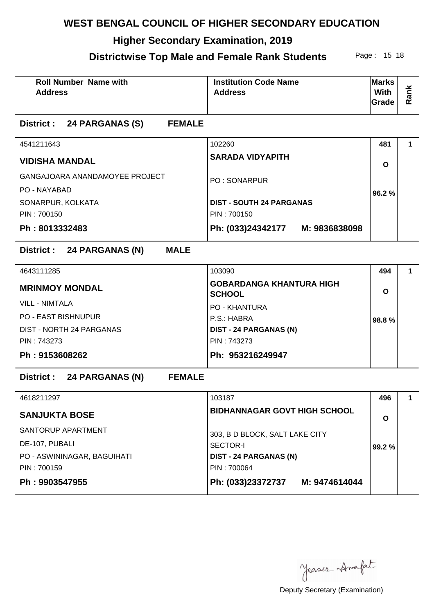## **Higher Secondary Examination, 2019**

## **Districtwise Top Male and Female Rank Students** Page: 15 18

| <b>Roll Number Name with</b><br><b>Address</b> |                                |               | <b>Institution Code Name</b><br><b>Address</b>   | <b>Marks</b><br>With<br>Grade | Rank |
|------------------------------------------------|--------------------------------|---------------|--------------------------------------------------|-------------------------------|------|
| District : 24 PARGANAS (S)                     |                                | <b>FEMALE</b> |                                                  |                               |      |
| 4541211643                                     |                                |               | 102260                                           | 481                           | 1.   |
| <b>VIDISHA MANDAL</b>                          |                                |               | <b>SARADA VIDYAPITH</b>                          | O                             |      |
|                                                | GANGAJOARA ANANDAMOYEE PROJECT |               | <b>PO: SONARPUR</b>                              |                               |      |
| PO - NAYABAD                                   |                                |               |                                                  | 96.2%                         |      |
| SONARPUR, KOLKATA                              |                                |               | <b>DIST - SOUTH 24 PARGANAS</b>                  |                               |      |
| PIN: 700150                                    |                                |               | PIN: 700150                                      |                               |      |
| Ph: 8013332483                                 |                                |               | Ph: (033)24342177 M: 9836838098                  |                               |      |
| District : 24 PARGANAS (N)                     |                                | <b>MALE</b>   |                                                  |                               |      |
| 4643111285                                     |                                |               | 103090                                           | 494                           | 1.   |
| <b>MRINMOY MONDAL</b>                          |                                |               | <b>GOBARDANGA KHANTURA HIGH</b><br><b>SCHOOL</b> | O                             |      |
| <b>VILL - NIMTALA</b>                          |                                |               | <b>PO - KHANTURA</b>                             |                               |      |
| <b>PO - EAST BISHNUPUR</b>                     |                                |               | P.S.: HABRA                                      | 98.8%                         |      |
| DIST - NORTH 24 PARGANAS                       |                                |               | <b>DIST - 24 PARGANAS (N)</b>                    |                               |      |
| PIN: 743273                                    |                                |               | PIN: 743273                                      |                               |      |
| Ph: 9153608262                                 |                                |               | Ph: 953216249947                                 |                               |      |
| District : 24 PARGANAS (N)                     |                                | <b>FEMALE</b> |                                                  |                               |      |
| 4618211297                                     |                                |               | 103187                                           | 496                           | 1    |
| <b>SANJUKTA BOSE</b>                           |                                |               | <b>BIDHANNAGAR GOVT HIGH SCHOOL</b>              | $\mathbf{o}$                  |      |
| SANTORUP APARTMENT                             |                                |               | 303, B D BLOCK, SALT LAKE CITY                   |                               |      |
| DE-107, PUBALI                                 |                                |               | SECTOR-I                                         | 99.2%                         |      |
| PO - ASWININAGAR, BAGUIHATI                    |                                |               | <b>DIST - 24 PARGANAS (N)</b>                    |                               |      |
| PIN: 700159                                    |                                |               | PIN: 700064                                      |                               |      |
| Ph: 9903547955                                 |                                |               | Ph: (033)23372737 M: 9474614044                  |                               |      |

Jeases Anafat

Deputy Secretary (Examination)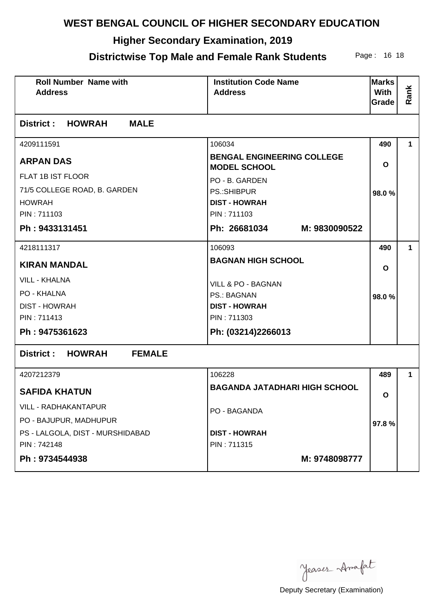## **Higher Secondary Examination, 2019**

## **Districtwise Top Male and Female Rank Students** Page: 16 18

| <b>Roll Number Name with</b><br><b>Address</b>   | <b>Institution Code Name</b><br><b>Address</b>           | <b>Marks</b><br><b>With</b><br>Grade | Rank        |  |
|--------------------------------------------------|----------------------------------------------------------|--------------------------------------|-------------|--|
| <b>District : HOWRAH</b><br><b>MALE</b>          |                                                          |                                      |             |  |
| 4209111591                                       | 106034                                                   | 490                                  | 1           |  |
| <b>ARPAN DAS</b>                                 | <b>BENGAL ENGINEERING COLLEGE</b><br><b>MODEL SCHOOL</b> | $\mathbf{o}$                         |             |  |
| FLAT 1B IST FLOOR                                | PO - B. GARDEN                                           |                                      |             |  |
| 71/5 COLLEGE ROAD, B. GARDEN                     | <b>PS.:SHIBPUR</b>                                       | 98.0%                                |             |  |
| <b>HOWRAH</b>                                    | <b>DIST - HOWRAH</b>                                     |                                      |             |  |
| PIN: 711103                                      | PIN: 711103                                              |                                      |             |  |
| Ph: 9433131451                                   | Ph: 26681034 M: 9830090522                               |                                      |             |  |
| 4218111317                                       | 106093                                                   | 490                                  | $\mathbf 1$ |  |
| <b>BAGNAN HIGH SCHOOL</b><br><b>KIRAN MANDAL</b> |                                                          | $\mathbf{o}$                         |             |  |
| <b>VILL - KHALNA</b>                             | VILL & PO - BAGNAN                                       |                                      |             |  |
| <b>PO - KHALNA</b>                               | <b>PS.: BAGNAN</b>                                       | 98.0%                                |             |  |
| <b>DIST - HOWRAH</b>                             | <b>DIST - HOWRAH</b>                                     |                                      |             |  |
| PIN: 711413                                      | PIN: 711303                                              |                                      |             |  |
| Ph: 9475361623                                   | Ph: (03214)2266013                                       |                                      |             |  |
| <b>District : HOWRAH</b><br><b>FEMALE</b>        |                                                          |                                      |             |  |
| 4207212379                                       | 106228                                                   | 489                                  | 1           |  |
| <b>SAFIDA KHATUN</b>                             | <b>BAGANDA JATADHARI HIGH SCHOOL</b>                     | O                                    |             |  |
| VILL - RADHAKANTAPUR                             | PO - BAGANDA                                             |                                      |             |  |
| PO - BAJUPUR, MADHUPUR                           |                                                          | 97.8%                                |             |  |
| PS - LALGOLA, DIST - MURSHIDABAD                 | <b>DIST - HOWRAH</b>                                     |                                      |             |  |
| PIN: 742148                                      | PIN: 711315                                              |                                      |             |  |
| Ph: 9734544938                                   | M: 9748098777                                            |                                      |             |  |

Jeases Anafat

Deputy Secretary (Examination)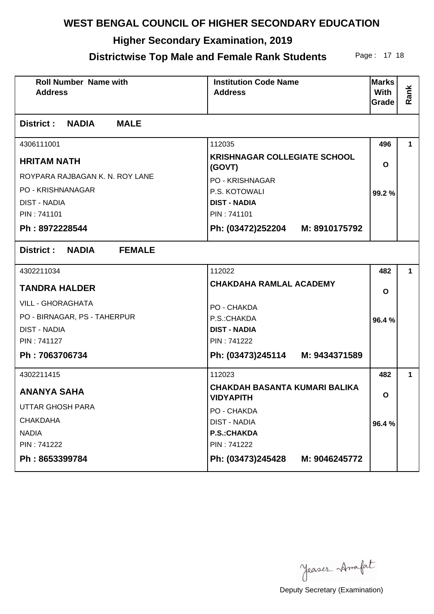## **Higher Secondary Examination, 2019**

#### **Districtwise Top Male and Female Rank Students** Page: 17 18

| <b>Roll Number Name with</b><br><b>Address</b> | <b>Institution Code Name</b><br><b>Address</b>           | <b>Marks</b><br>With<br>Grade | Rank |  |
|------------------------------------------------|----------------------------------------------------------|-------------------------------|------|--|
| <b>District : NADIA</b><br><b>MALE</b>         |                                                          |                               |      |  |
| 4306111001                                     | 112035                                                   | 496                           | 1.   |  |
| <b>HRITAM NATH</b>                             | <b>KRISHNAGAR COLLEGIATE SCHOOL</b><br>(GOVT)            |                               |      |  |
| ROYPARA RAJBAGAN K. N. ROY LANE                | <b>PO - KRISHNAGAR</b>                                   |                               |      |  |
| PO - KRISHNANAGAR                              | P.S. KOTOWALI                                            | 99.2%                         |      |  |
| <b>DIST - NADIA</b>                            | <b>DIST - NADIA</b>                                      |                               |      |  |
| PIN: 741101                                    | PIN: 741101                                              |                               |      |  |
| Ph: 8972228544                                 | Ph: (03472)252204 M: 8910175792                          |                               |      |  |
| <b>NADIA</b><br>District :<br><b>FEMALE</b>    |                                                          |                               |      |  |
| 4302211034                                     | 112022                                                   | 482                           | 1.   |  |
| <b>TANDRA HALDER</b>                           | <b>CHAKDAHA RAMLAL ACADEMY</b>                           |                               |      |  |
| <b>VILL - GHORAGHATA</b>                       | PO - CHAKDA                                              |                               |      |  |
| PO - BIRNAGAR, PS - TAHERPUR                   | P.S.: CHAKDA                                             | 96.4%                         |      |  |
| <b>DIST - NADIA</b>                            | <b>DIST - NADIA</b>                                      |                               |      |  |
| PIN: 741127                                    | PIN: 741222                                              |                               |      |  |
| Ph: 7063706734                                 | Ph: (03473)245114 M: 9434371589                          |                               |      |  |
| 4302211415                                     | 112023                                                   | 482                           | 1    |  |
| <b>ANANYA SAHA</b>                             | <b>CHAKDAH BASANTA KUMARI BALIKA</b><br><b>VIDYAPITH</b> |                               |      |  |
| <b>UTTAR GHOSH PARA</b>                        | PO - CHAKDA                                              |                               |      |  |
| <b>CHAKDAHA</b>                                | <b>DIST - NADIA</b>                                      | 96.4%                         |      |  |
| <b>NADIA</b>                                   | <b>P.S.:CHAKDA</b>                                       |                               |      |  |
| PIN: 741222                                    | PIN: 741222                                              |                               |      |  |
| Ph: 8653399784                                 | Ph: (03473)245428<br>M: 9046245772                       |                               |      |  |

Jeases Anafat

Deputy Secretary (Examination)